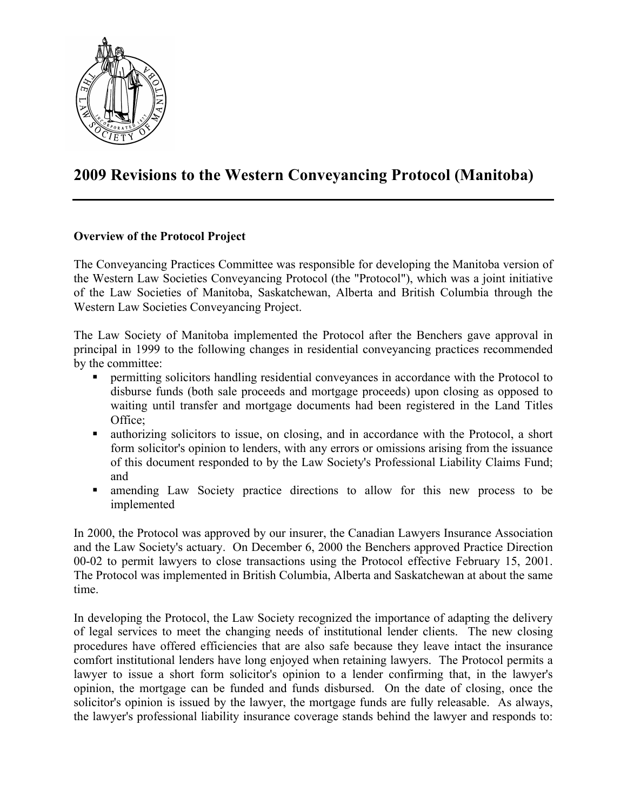

# **2009 Revisions to the Western Conveyancing Protocol (Manitoba)**

# **Overview of the Protocol Project**

The Conveyancing Practices Committee was responsible for developing the Manitoba version of the Western Law Societies Conveyancing Protocol (the "Protocol"), which was a joint initiative of the Law Societies of Manitoba, Saskatchewan, Alberta and British Columbia through the Western Law Societies Conveyancing Project.

The Law Society of Manitoba implemented the Protocol after the Benchers gave approval in principal in 1999 to the following changes in residential conveyancing practices recommended by the committee:

- permitting solicitors handling residential conveyances in accordance with the Protocol to disburse funds (both sale proceeds and mortgage proceeds) upon closing as opposed to waiting until transfer and mortgage documents had been registered in the Land Titles Office:
- authorizing solicitors to issue, on closing, and in accordance with the Protocol, a short form solicitor's opinion to lenders, with any errors or omissions arising from the issuance of this document responded to by the Law Society's Professional Liability Claims Fund; and
- amending Law Society practice directions to allow for this new process to be implemented

In 2000, the Protocol was approved by our insurer, the Canadian Lawyers Insurance Association and the Law Society's actuary. On December 6, 2000 the Benchers approved Practice Direction 00-02 to permit lawyers to close transactions using the Protocol effective February 15, 2001. The Protocol was implemented in British Columbia, Alberta and Saskatchewan at about the same time.

In developing the Protocol, the Law Society recognized the importance of adapting the delivery of legal services to meet the changing needs of institutional lender clients. The new closing procedures have offered efficiencies that are also safe because they leave intact the insurance comfort institutional lenders have long enjoyed when retaining lawyers. The Protocol permits a lawyer to issue a short form solicitor's opinion to a lender confirming that, in the lawyer's opinion, the mortgage can be funded and funds disbursed. On the date of closing, once the solicitor's opinion is issued by the lawyer, the mortgage funds are fully releasable. As always, the lawyer's professional liability insurance coverage stands behind the lawyer and responds to: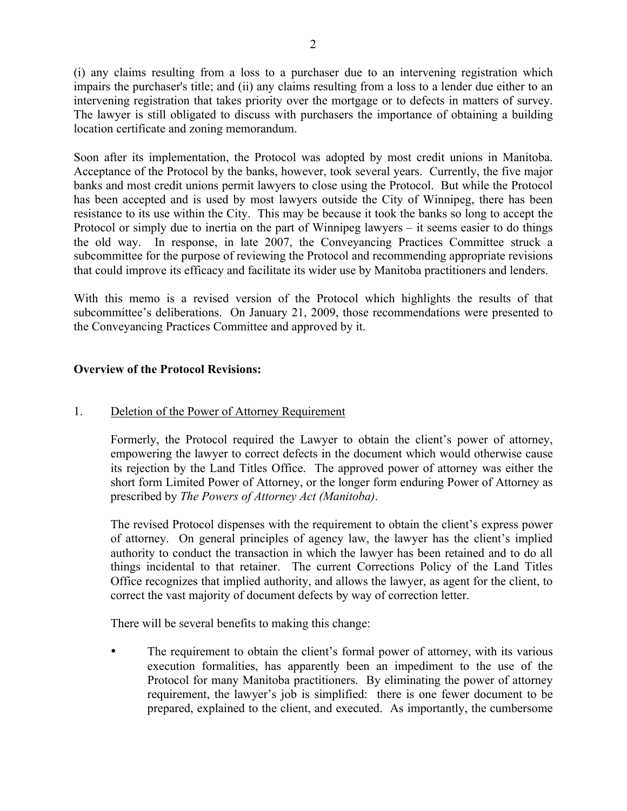(i) any claims resulting from a loss to a purchaser due to an intervening registration which impairs the purchaser's title; and (ii) any claims resulting from a loss to a lender due either to an intervening registration that takes priority over the mortgage or to defects in matters of survey. The lawyer is still obligated to discuss with purchasers the importance of obtaining a building location certificate and zoning memorandum.

Soon after its implementation, the Protocol was adopted by most credit unions in Manitoba. Acceptance of the Protocol by the banks, however, took several years. Currently, the five major banks and most credit unions permit lawyers to close using the Protocol. But while the Protocol has been accepted and is used by most lawyers outside the City of Winnipeg, there has been resistance to its use within the City. This may be because it took the banks so long to accept the Protocol or simply due to inertia on the part of Winnipeg lawyers – it seems easier to do things the old way. In response, in late 2007, the Conveyancing Practices Committee struck a subcommittee for the purpose of reviewing the Protocol and recommending appropriate revisions that could improve its efficacy and facilitate its wider use by Manitoba practitioners and lenders.

With this memo is a revised version of the Protocol which highlights the results of that subcommittee's deliberations. On January 21, 2009, those recommendations were presented to the Conveyancing Practices Committee and approved by it.

# **Overview of the Protocol Revisions:**

# 1. Deletion of the Power of Attorney Requirement

Formerly, the Protocol required the Lawyer to obtain the client's power of attorney, empowering the lawyer to correct defects in the document which would otherwise cause its rejection by the Land Titles Office. The approved power of attorney was either the short form Limited Power of Attorney, or the longer form enduring Power of Attorney as prescribed by *The Powers of Attorney Act (Manitoba)*.

The revised Protocol dispenses with the requirement to obtain the client's express power of attorney. On general principles of agency law, the lawyer has the client's implied authority to conduct the transaction in which the lawyer has been retained and to do all things incidental to that retainer. The current Corrections Policy of the Land Titles Office recognizes that implied authority, and allows the lawyer, as agent for the client, to correct the vast majority of document defects by way of correction letter.

There will be several benefits to making this change:

The requirement to obtain the client's formal power of attorney, with its various execution formalities, has apparently been an impediment to the use of the Protocol for many Manitoba practitioners. By eliminating the power of attorney requirement, the lawyer's job is simplified: there is one fewer document to be prepared, explained to the client, and executed. As importantly, the cumbersome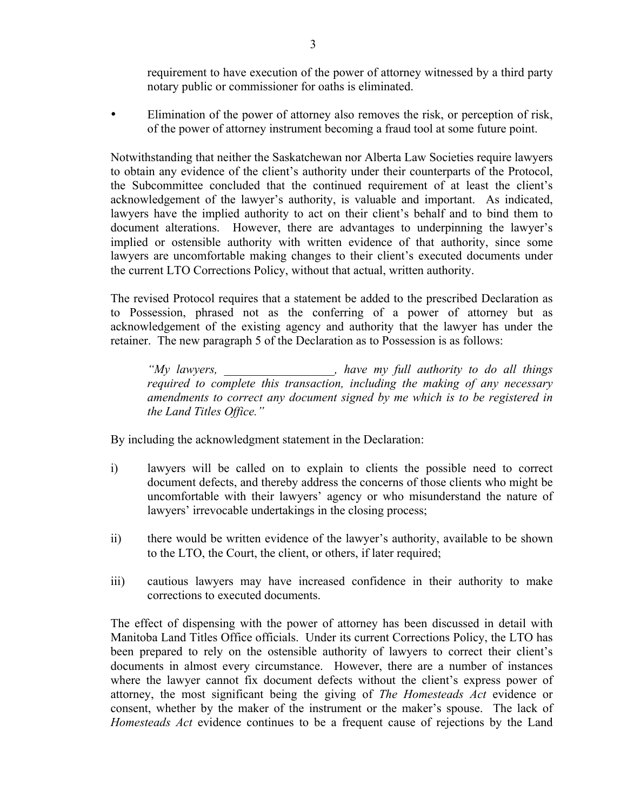requirement to have execution of the power of attorney witnessed by a third party notary public or commissioner for oaths is eliminated.

• Elimination of the power of attorney also removes the risk, or perception of risk, of the power of attorney instrument becoming a fraud tool at some future point.

Notwithstanding that neither the Saskatchewan nor Alberta Law Societies require lawyers to obtain any evidence of the client's authority under their counterparts of the Protocol, the Subcommittee concluded that the continued requirement of at least the client's acknowledgement of the lawyer's authority, is valuable and important. As indicated, lawyers have the implied authority to act on their client's behalf and to bind them to document alterations. However, there are advantages to underpinning the lawyer's implied or ostensible authority with written evidence of that authority, since some lawyers are uncomfortable making changes to their client's executed documents under the current LTO Corrections Policy, without that actual, written authority.

The revised Protocol requires that a statement be added to the prescribed Declaration as to Possession, phrased not as the conferring of a power of attorney but as acknowledgement of the existing agency and authority that the lawyer has under the retainer. The new paragraph 5 of the Declaration as to Possession is as follows:

*"My lawyers, \_\_\_\_\_\_\_\_\_\_\_\_\_\_\_\_\_\_, have my full authority to do all things required to complete this transaction, including the making of any necessary amendments to correct any document signed by me which is to be registered in the Land Titles Office."*

By including the acknowledgment statement in the Declaration:

- i) lawyers will be called on to explain to clients the possible need to correct document defects, and thereby address the concerns of those clients who might be uncomfortable with their lawyers' agency or who misunderstand the nature of lawyers' irrevocable undertakings in the closing process;
- ii) there would be written evidence of the lawyer's authority, available to be shown to the LTO, the Court, the client, or others, if later required;
- iii) cautious lawyers may have increased confidence in their authority to make corrections to executed documents.

The effect of dispensing with the power of attorney has been discussed in detail with Manitoba Land Titles Office officials. Under its current Corrections Policy, the LTO has been prepared to rely on the ostensible authority of lawyers to correct their client's documents in almost every circumstance. However, there are a number of instances where the lawyer cannot fix document defects without the client's express power of attorney, the most significant being the giving of *The Homesteads Act* evidence or consent, whether by the maker of the instrument or the maker's spouse. The lack of *Homesteads Act* evidence continues to be a frequent cause of rejections by the Land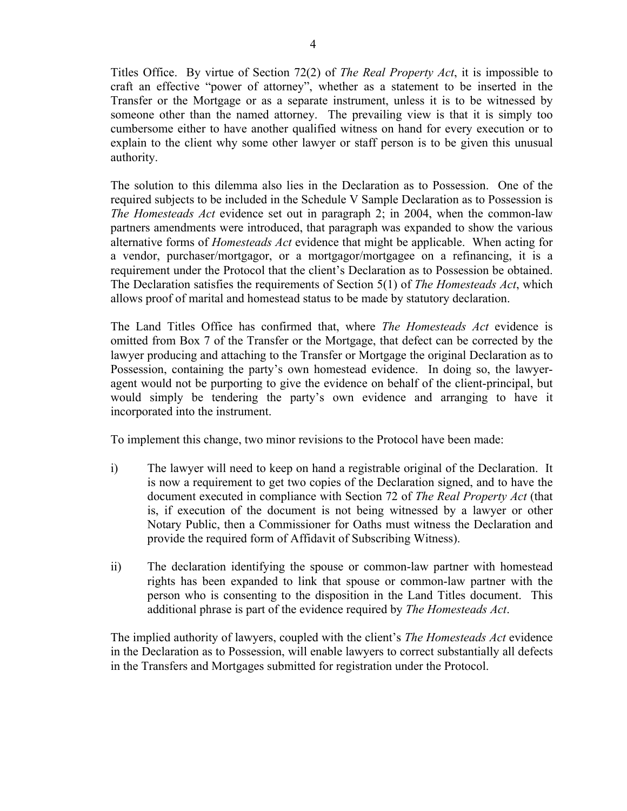Titles Office. By virtue of Section 72(2) of *The Real Property Act*, it is impossible to craft an effective "power of attorney", whether as a statement to be inserted in the Transfer or the Mortgage or as a separate instrument, unless it is to be witnessed by someone other than the named attorney. The prevailing view is that it is simply too cumbersome either to have another qualified witness on hand for every execution or to explain to the client why some other lawyer or staff person is to be given this unusual authority.

The solution to this dilemma also lies in the Declaration as to Possession. One of the required subjects to be included in the Schedule V Sample Declaration as to Possession is *The Homesteads Act* evidence set out in paragraph 2; in 2004, when the common-law partners amendments were introduced, that paragraph was expanded to show the various alternative forms of *Homesteads Act* evidence that might be applicable. When acting for a vendor, purchaser/mortgagor, or a mortgagor/mortgagee on a refinancing, it is a requirement under the Protocol that the client's Declaration as to Possession be obtained. The Declaration satisfies the requirements of Section 5(1) of *The Homesteads Act*, which allows proof of marital and homestead status to be made by statutory declaration.

The Land Titles Office has confirmed that, where *The Homesteads Act* evidence is omitted from Box 7 of the Transfer or the Mortgage, that defect can be corrected by the lawyer producing and attaching to the Transfer or Mortgage the original Declaration as to Possession, containing the party's own homestead evidence. In doing so, the lawyeragent would not be purporting to give the evidence on behalf of the client-principal, but would simply be tendering the party's own evidence and arranging to have it incorporated into the instrument.

To implement this change, two minor revisions to the Protocol have been made:

- i) The lawyer will need to keep on hand a registrable original of the Declaration. It is now a requirement to get two copies of the Declaration signed, and to have the document executed in compliance with Section 72 of *The Real Property Act* (that is, if execution of the document is not being witnessed by a lawyer or other Notary Public, then a Commissioner for Oaths must witness the Declaration and provide the required form of Affidavit of Subscribing Witness).
- ii) The declaration identifying the spouse or common-law partner with homestead rights has been expanded to link that spouse or common-law partner with the person who is consenting to the disposition in the Land Titles document. This additional phrase is part of the evidence required by *The Homesteads Act*.

The implied authority of lawyers, coupled with the client's *The Homesteads Act* evidence in the Declaration as to Possession, will enable lawyers to correct substantially all defects in the Transfers and Mortgages submitted for registration under the Protocol.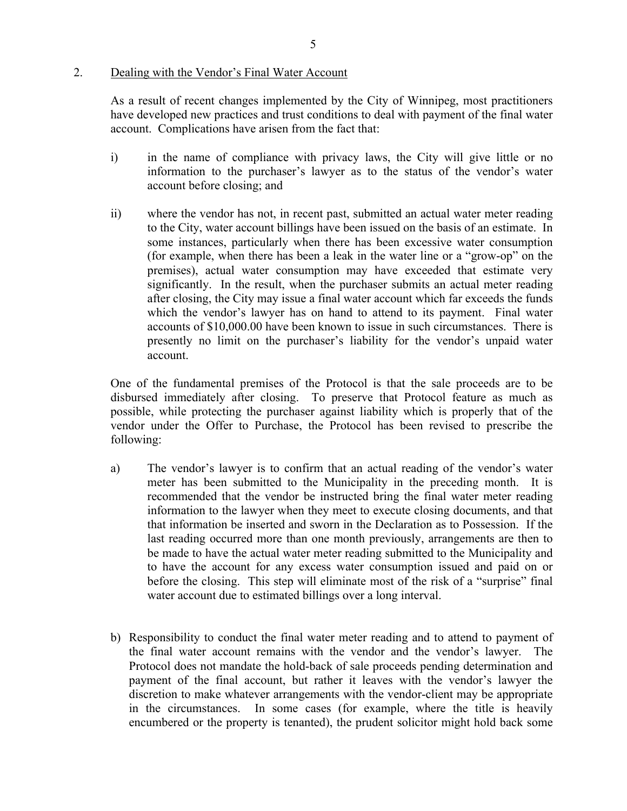#### 2. Dealing with the Vendor's Final Water Account

As a result of recent changes implemented by the City of Winnipeg, most practitioners have developed new practices and trust conditions to deal with payment of the final water account. Complications have arisen from the fact that:

- i) in the name of compliance with privacy laws, the City will give little or no information to the purchaser's lawyer as to the status of the vendor's water account before closing; and
- ii) where the vendor has not, in recent past, submitted an actual water meter reading to the City, water account billings have been issued on the basis of an estimate. In some instances, particularly when there has been excessive water consumption (for example, when there has been a leak in the water line or a "grow-op" on the premises), actual water consumption may have exceeded that estimate very significantly. In the result, when the purchaser submits an actual meter reading after closing, the City may issue a final water account which far exceeds the funds which the vendor's lawyer has on hand to attend to its payment. Final water accounts of \$10,000.00 have been known to issue in such circumstances. There is presently no limit on the purchaser's liability for the vendor's unpaid water account.

One of the fundamental premises of the Protocol is that the sale proceeds are to be disbursed immediately after closing. To preserve that Protocol feature as much as possible, while protecting the purchaser against liability which is properly that of the vendor under the Offer to Purchase, the Protocol has been revised to prescribe the following:

- a) The vendor's lawyer is to confirm that an actual reading of the vendor's water meter has been submitted to the Municipality in the preceding month. It is recommended that the vendor be instructed bring the final water meter reading information to the lawyer when they meet to execute closing documents, and that that information be inserted and sworn in the Declaration as to Possession. If the last reading occurred more than one month previously, arrangements are then to be made to have the actual water meter reading submitted to the Municipality and to have the account for any excess water consumption issued and paid on or before the closing. This step will eliminate most of the risk of a "surprise" final water account due to estimated billings over a long interval.
- b) Responsibility to conduct the final water meter reading and to attend to payment of the final water account remains with the vendor and the vendor's lawyer. The Protocol does not mandate the hold-back of sale proceeds pending determination and payment of the final account, but rather it leaves with the vendor's lawyer the discretion to make whatever arrangements with the vendor-client may be appropriate in the circumstances. In some cases (for example, where the title is heavily encumbered or the property is tenanted), the prudent solicitor might hold back some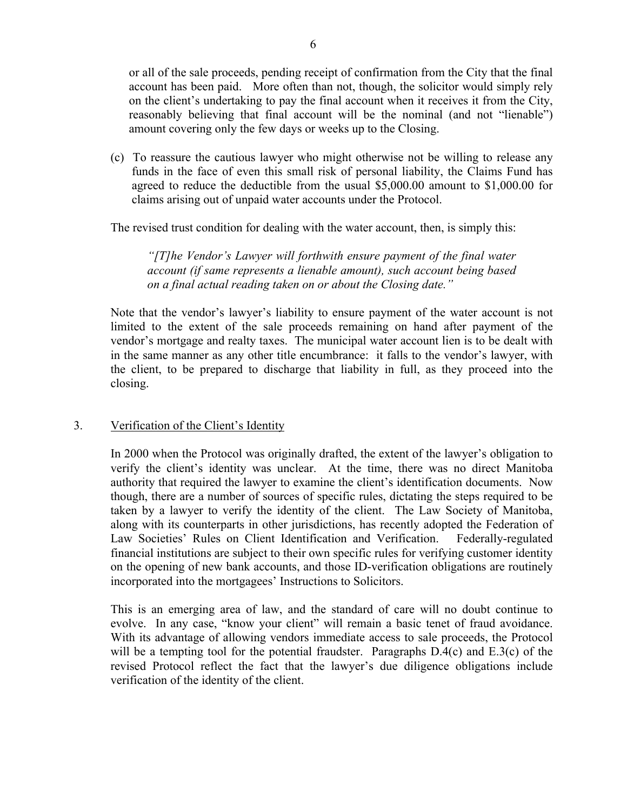or all of the sale proceeds, pending receipt of confirmation from the City that the final account has been paid. More often than not, though, the solicitor would simply rely on the client's undertaking to pay the final account when it receives it from the City, reasonably believing that final account will be the nominal (and not "lienable") amount covering only the few days or weeks up to the Closing.

(c) To reassure the cautious lawyer who might otherwise not be willing to release any funds in the face of even this small risk of personal liability, the Claims Fund has agreed to reduce the deductible from the usual \$5,000.00 amount to \$1,000.00 for claims arising out of unpaid water accounts under the Protocol.

The revised trust condition for dealing with the water account, then, is simply this:

*"[T]he Vendor's Lawyer will forthwith ensure payment of the final water account (if same represents a lienable amount), such account being based on a final actual reading taken on or about the Closing date."*

Note that the vendor's lawyer's liability to ensure payment of the water account is not limited to the extent of the sale proceeds remaining on hand after payment of the vendor's mortgage and realty taxes. The municipal water account lien is to be dealt with in the same manner as any other title encumbrance: it falls to the vendor's lawyer, with the client, to be prepared to discharge that liability in full, as they proceed into the closing.

## 3. Verification of the Client's Identity

In 2000 when the Protocol was originally drafted, the extent of the lawyer's obligation to verify the client's identity was unclear. At the time, there was no direct Manitoba authority that required the lawyer to examine the client's identification documents. Now though, there are a number of sources of specific rules, dictating the steps required to be taken by a lawyer to verify the identity of the client. The Law Society of Manitoba, along with its counterparts in other jurisdictions, has recently adopted the Federation of Law Societies' Rules on Client Identification and Verification. Federally-regulated financial institutions are subject to their own specific rules for verifying customer identity on the opening of new bank accounts, and those ID-verification obligations are routinely incorporated into the mortgagees' Instructions to Solicitors.

This is an emerging area of law, and the standard of care will no doubt continue to evolve. In any case, "know your client" will remain a basic tenet of fraud avoidance. With its advantage of allowing vendors immediate access to sale proceeds, the Protocol will be a tempting tool for the potential fraudster. Paragraphs  $D.4(c)$  and  $E.3(c)$  of the revised Protocol reflect the fact that the lawyer's due diligence obligations include verification of the identity of the client.